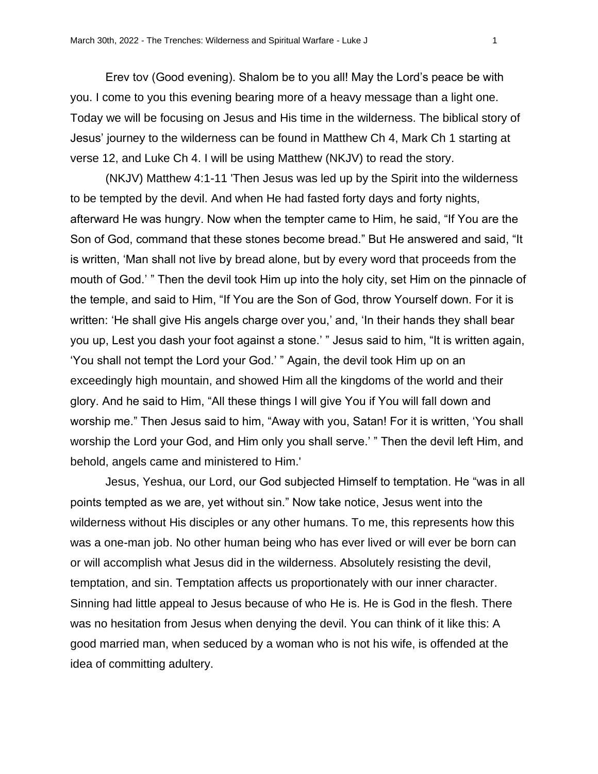Erev tov (Good evening). Shalom be to you all! May the Lord's peace be with you. I come to you this evening bearing more of a heavy message than a light one. Today we will be focusing on Jesus and His time in the wilderness. The biblical story of Jesus' journey to the wilderness can be found in Matthew Ch 4, Mark Ch 1 starting at verse 12, and Luke Ch 4. I will be using Matthew (NKJV) to read the story.

(NKJV) Matthew 4:1-11 'Then Jesus was led up by the Spirit into the wilderness to be tempted by the devil. And when He had fasted forty days and forty nights, afterward He was hungry. Now when the tempter came to Him, he said, "If You are the Son of God, command that these stones become bread." But He answered and said, "It is written, 'Man shall not live by bread alone, but by every word that proceeds from the mouth of God.' " Then the devil took Him up into the holy city, set Him on the pinnacle of the temple, and said to Him, "If You are the Son of God, throw Yourself down. For it is written: 'He shall give His angels charge over you,' and, 'In their hands they shall bear you up, Lest you dash your foot against a stone.' " Jesus said to him, "It is written again, 'You shall not tempt the Lord your God.' " Again, the devil took Him up on an exceedingly high mountain, and showed Him all the kingdoms of the world and their glory. And he said to Him, "All these things I will give You if You will fall down and worship me." Then Jesus said to him, "Away with you, Satan! For it is written, 'You shall worship the Lord your God, and Him only you shall serve.' " Then the devil left Him, and behold, angels came and ministered to Him.'

Jesus, Yeshua, our Lord, our God subjected Himself to temptation. He "was in all points tempted as we are, yet without sin." Now take notice, Jesus went into the wilderness without His disciples or any other humans. To me, this represents how this was a one-man job. No other human being who has ever lived or will ever be born can or will accomplish what Jesus did in the wilderness. Absolutely resisting the devil, temptation, and sin. Temptation affects us proportionately with our inner character. Sinning had little appeal to Jesus because of who He is. He is God in the flesh. There was no hesitation from Jesus when denying the devil. You can think of it like this: A good married man, when seduced by a woman who is not his wife, is offended at the idea of committing adultery.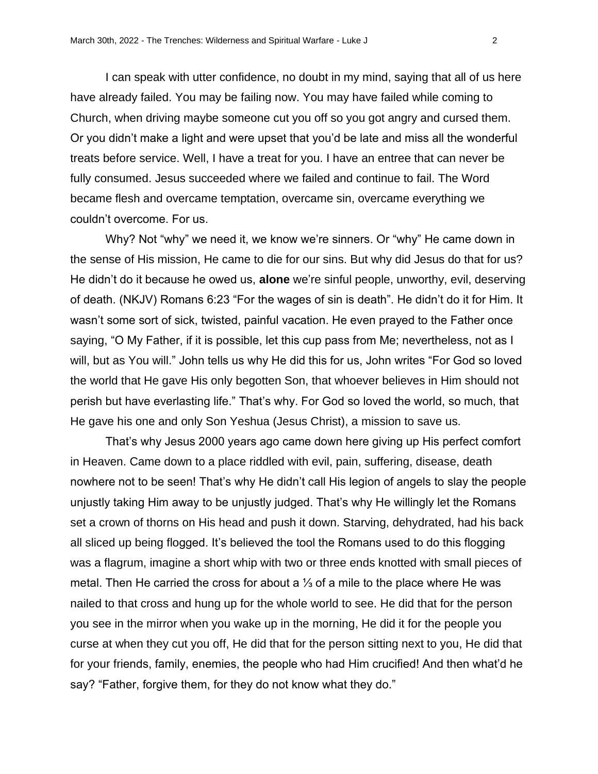I can speak with utter confidence, no doubt in my mind, saying that all of us here have already failed. You may be failing now. You may have failed while coming to Church, when driving maybe someone cut you off so you got angry and cursed them. Or you didn't make a light and were upset that you'd be late and miss all the wonderful treats before service. Well, I have a treat for you. I have an entree that can never be fully consumed. Jesus succeeded where we failed and continue to fail. The Word became flesh and overcame temptation, overcame sin, overcame everything we couldn't overcome. For us.

Why? Not "why" we need it, we know we're sinners. Or "why" He came down in the sense of His mission, He came to die for our sins. But why did Jesus do that for us? He didn't do it because he owed us, **alone** we're sinful people, unworthy, evil, deserving of death. (NKJV) Romans 6:23 "For the wages of sin is death". He didn't do it for Him. It wasn't some sort of sick, twisted, painful vacation. He even prayed to the Father once saying, "O My Father, if it is possible, let this cup pass from Me; nevertheless, not as I will, but as You will." John tells us why He did this for us, John writes "For God so loved the world that He gave His only begotten Son, that whoever believes in Him should not perish but have everlasting life." That's why. For God so loved the world, so much, that He gave his one and only Son Yeshua (Jesus Christ), a mission to save us.

That's why Jesus 2000 years ago came down here giving up His perfect comfort in Heaven. Came down to a place riddled with evil, pain, suffering, disease, death nowhere not to be seen! That's why He didn't call His legion of angels to slay the people unjustly taking Him away to be unjustly judged. That's why He willingly let the Romans set a crown of thorns on His head and push it down. Starving, dehydrated, had his back all sliced up being flogged. It's believed the tool the Romans used to do this flogging was a flagrum, imagine a short whip with two or three ends knotted with small pieces of metal. Then He carried the cross for about a ⅓ of a mile to the place where He was nailed to that cross and hung up for the whole world to see. He did that for the person you see in the mirror when you wake up in the morning, He did it for the people you curse at when they cut you off, He did that for the person sitting next to you, He did that for your friends, family, enemies, the people who had Him crucified! And then what'd he say? "Father, forgive them, for they do not know what they do."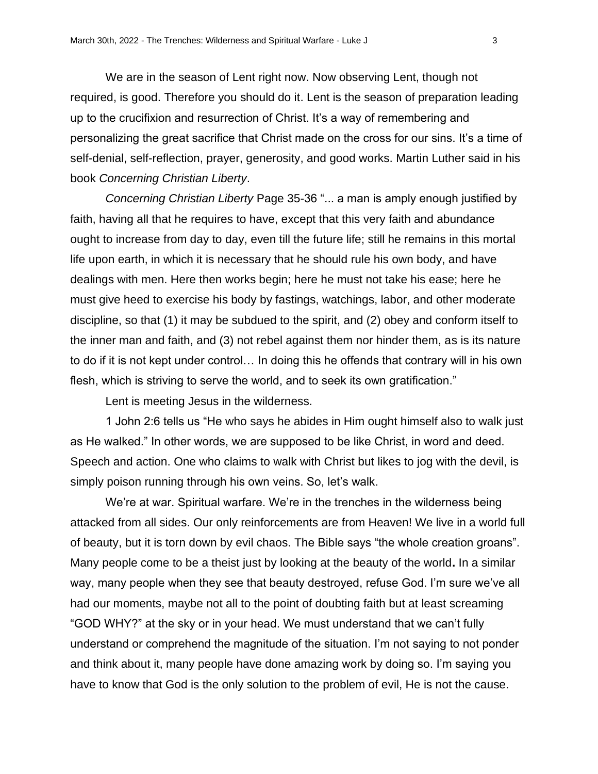We are in the season of Lent right now. Now observing Lent, though not required, is good. Therefore you should do it. Lent is the season of preparation leading up to the crucifixion and resurrection of Christ. It's a way of remembering and personalizing the great sacrifice that Christ made on the cross for our sins. It's a time of self-denial, self-reflection, prayer, generosity, and good works. Martin Luther said in his book *Concerning Christian Liberty*.

*Concerning Christian Liberty* Page 35-36 "... a man is amply enough justified by faith, having all that he requires to have, except that this very faith and abundance ought to increase from day to day, even till the future life; still he remains in this mortal life upon earth, in which it is necessary that he should rule his own body, and have dealings with men. Here then works begin; here he must not take his ease; here he must give heed to exercise his body by fastings, watchings, labor, and other moderate discipline, so that (1) it may be subdued to the spirit, and (2) obey and conform itself to the inner man and faith, and (3) not rebel against them nor hinder them, as is its nature to do if it is not kept under control… In doing this he offends that contrary will in his own flesh, which is striving to serve the world, and to seek its own gratification."

Lent is meeting Jesus in the wilderness.

1 John 2:6 tells us "He who says he abides in Him ought himself also to walk just as He walked." In other words, we are supposed to be like Christ, in word and deed. Speech and action. One who claims to walk with Christ but likes to jog with the devil, is simply poison running through his own veins. So, let's walk.

We're at war. Spiritual warfare. We're in the trenches in the wilderness being attacked from all sides. Our only reinforcements are from Heaven! We live in a world full of beauty, but it is torn down by evil chaos. The Bible says "the whole creation groans". Many people come to be a theist just by looking at the beauty of the world**.** In a similar way, many people when they see that beauty destroyed, refuse God. I'm sure we've all had our moments, maybe not all to the point of doubting faith but at least screaming "GOD WHY?" at the sky or in your head. We must understand that we can't fully understand or comprehend the magnitude of the situation. I'm not saying to not ponder and think about it, many people have done amazing work by doing so. I'm saying you have to know that God is the only solution to the problem of evil, He is not the cause.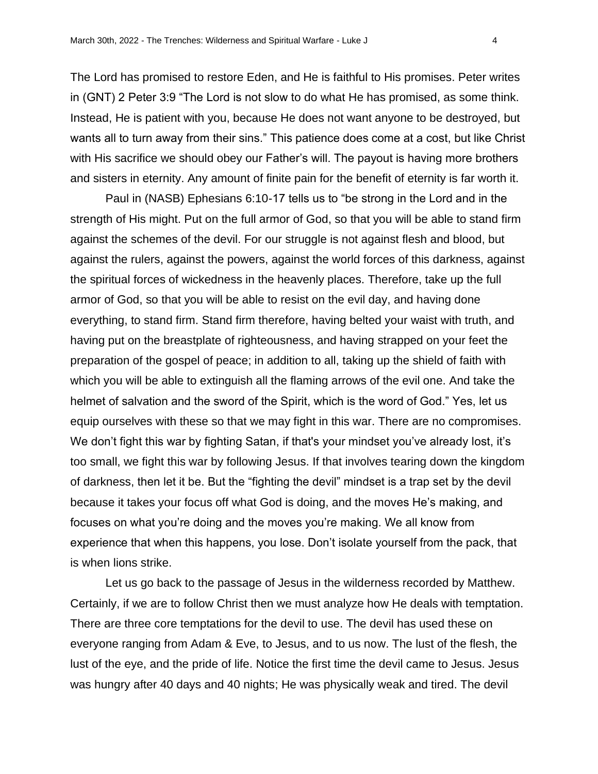The Lord has promised to restore Eden, and He is faithful to His promises. Peter writes in (GNT) 2 Peter 3:9 "The Lord is not slow to do what He has promised, as some think. Instead, He is patient with you, because He does not want anyone to be destroyed, but wants all to turn away from their sins." This patience does come at a cost, but like Christ with His sacrifice we should obey our Father's will. The payout is having more brothers and sisters in eternity. Any amount of finite pain for the benefit of eternity is far worth it.

Paul in (NASB) Ephesians 6:10-17 tells us to "be strong in the Lord and in the strength of His might. Put on the full armor of God, so that you will be able to stand firm against the schemes of the devil. For our struggle is not against flesh and blood, but against the rulers, against the powers, against the world forces of this darkness, against the spiritual forces of wickedness in the heavenly places. Therefore, take up the full armor of God, so that you will be able to resist on the evil day, and having done everything, to stand firm. Stand firm therefore, having belted your waist with truth, and having put on the breastplate of righteousness, and having strapped on your feet the preparation of the gospel of peace; in addition to all, taking up the shield of faith with which you will be able to extinguish all the flaming arrows of the evil one. And take the helmet of salvation and the sword of the Spirit, which is the word of God." Yes, let us equip ourselves with these so that we may fight in this war. There are no compromises. We don't fight this war by fighting Satan, if that's your mindset you've already lost, it's too small, we fight this war by following Jesus. If that involves tearing down the kingdom of darkness, then let it be. But the "fighting the devil" mindset is a trap set by the devil because it takes your focus off what God is doing, and the moves He's making, and focuses on what you're doing and the moves you're making. We all know from experience that when this happens, you lose. Don't isolate yourself from the pack, that is when lions strike.

Let us go back to the passage of Jesus in the wilderness recorded by Matthew. Certainly, if we are to follow Christ then we must analyze how He deals with temptation. There are three core temptations for the devil to use. The devil has used these on everyone ranging from Adam & Eve, to Jesus, and to us now. The lust of the flesh, the lust of the eye, and the pride of life. Notice the first time the devil came to Jesus. Jesus was hungry after 40 days and 40 nights; He was physically weak and tired. The devil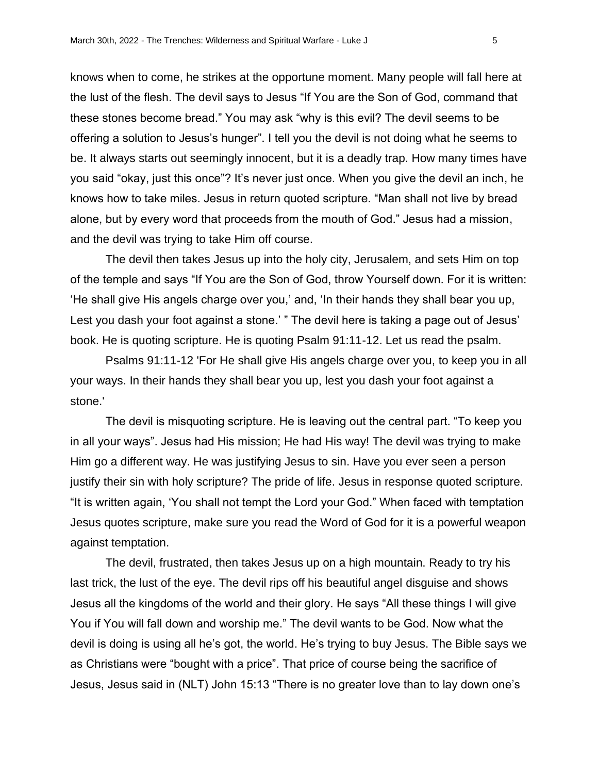knows when to come, he strikes at the opportune moment. Many people will fall here at the lust of the flesh. The devil says to Jesus "If You are the Son of God, command that these stones become bread." You may ask "why is this evil? The devil seems to be offering a solution to Jesus's hunger". I tell you the devil is not doing what he seems to be. It always starts out seemingly innocent, but it is a deadly trap. How many times have you said "okay, just this once"? It's never just once. When you give the devil an inch, he knows how to take miles. Jesus in return quoted scripture. "Man shall not live by bread alone, but by every word that proceeds from the mouth of God." Jesus had a mission, and the devil was trying to take Him off course.

The devil then takes Jesus up into the holy city, Jerusalem, and sets Him on top of the temple and says "If You are the Son of God, throw Yourself down. For it is written: 'He shall give His angels charge over you,' and, 'In their hands they shall bear you up, Lest you dash your foot against a stone.' " The devil here is taking a page out of Jesus' book. He is quoting scripture. He is quoting Psalm 91:11-12. Let us read the psalm.

Psalms 91:11-12 'For He shall give His angels charge over you, to keep you in all your ways. In their hands they shall bear you up, lest you dash your foot against a stone.'

The devil is misquoting scripture. He is leaving out the central part. "To keep you in all your ways". Jesus had His mission; He had His way! The devil was trying to make Him go a different way. He was justifying Jesus to sin. Have you ever seen a person justify their sin with holy scripture? The pride of life. Jesus in response quoted scripture. "It is written again, 'You shall not tempt the Lord your God." When faced with temptation Jesus quotes scripture, make sure you read the Word of God for it is a powerful weapon against temptation.

The devil, frustrated, then takes Jesus up on a high mountain. Ready to try his last trick, the lust of the eye. The devil rips off his beautiful angel disguise and shows Jesus all the kingdoms of the world and their glory. He says "All these things I will give You if You will fall down and worship me." The devil wants to be God. Now what the devil is doing is using all he's got, the world. He's trying to buy Jesus. The Bible says we as Christians were "bought with a price". That price of course being the sacrifice of Jesus, Jesus said in (NLT) John 15:13 "There is no greater love than to lay down one's